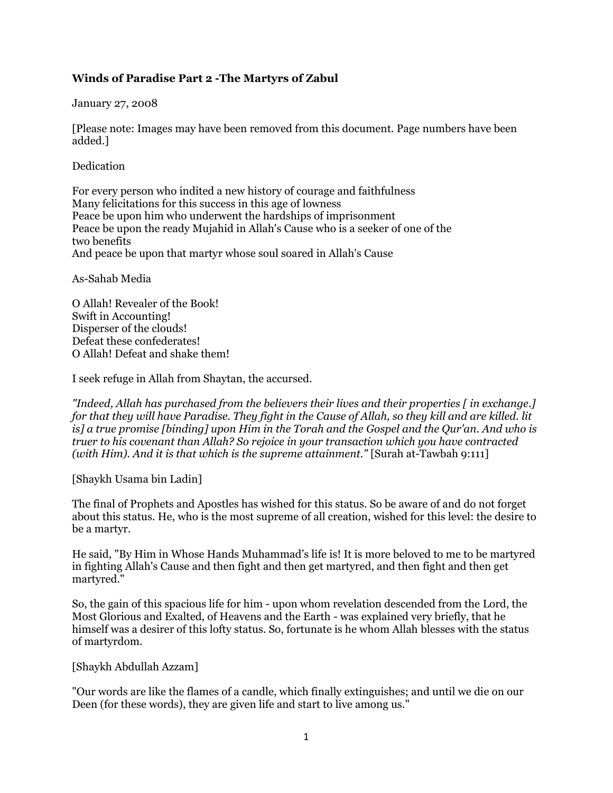# **Winds of Paradise Part 2 -The Martyrs of Zabul**

January 27, 2008

[Please note: Images may have been removed from this document. Page numbers have been added.]

Dedication

For every person who indited a new history of courage and faithfulness Many felicitations for this success in this age of lowness Peace be upon him who underwent the hardships of imprisonment Peace be upon the ready Mujahid in Allah's Cause who is a seeker of one of the two benefits And peace be upon that martyr whose soul soared in Allah's Cause

As-Sahab Media

O Allah! Revealer of the Book! Swift in Accounting! Disperser of the clouds! Defeat these confederates! O Allah! Defeat and shake them!

I seek refuge in Allah from Shaytan, the accursed.

*"Indeed, Allah has purchased from the believers their lives and their properties [ in exchange.] for that they will have Paradise. They fight in the Cause of Allah, so they kill and are killed. lit is] a true promise [binding] upon Him in the Torah and the Gospel and the Qur'an. And who is truer to his covenant than Allah? So rejoice in your transaction which you have contracted (with Him). And it is that which is the supreme attainment."* [Surah at-Tawbah 9:111]

[Shaykh Usama bin Ladin]

The final of Prophets and Apostles has wished for this status. So be aware of and do not forget about this status. He, who is the most supreme of all creation, wished for this level: the desire to be a martyr.

He said, "By Him in Whose Hands Muhammad's life is! It is more beloved to me to be martyred in fighting Allah's Cause and then fight and then get martyred, and then fight and then get martyred."

So, the gain of this spacious life for him - upon whom revelation descended from the Lord, the Most Glorious and Exalted, of Heavens and the Earth - was explained very briefly, that he himself was a desirer of this lofty status. So, fortunate is he whom Allah blesses with the status of martyrdom.

[Shaykh Abdullah Azzam]

"Our words are like the flames of a candle, which finally extinguishes; and until we die on our Deen (for these words), they are given life and start to live among us."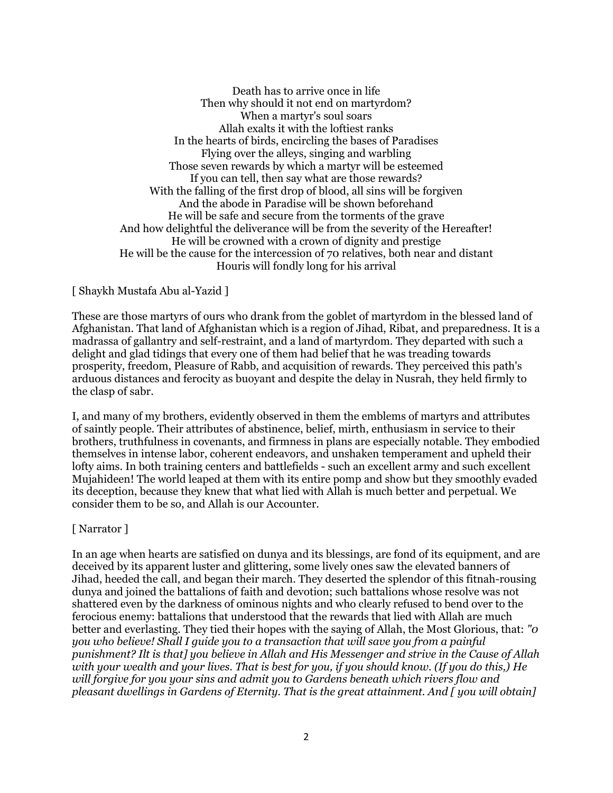Death has to arrive once in life Then why should it not end on martyrdom? When a martyr's soul soars Allah exalts it with the loftiest ranks In the hearts of birds, encircling the bases of Paradises Flying over the alleys, singing and warbling Those seven rewards by which a martyr will be esteemed If you can tell, then say what are those rewards? With the falling of the first drop of blood, all sins will be forgiven And the abode in Paradise will be shown beforehand He will be safe and secure from the torments of the grave And how delightful the deliverance will be from the severity of the Hereafter! He will be crowned with a crown of dignity and prestige He will be the cause for the intercession of 70 relatives, both near and distant Houris will fondly long for his arrival

#### [ Shaykh Mustafa Abu al-Yazid ]

These are those martyrs of ours who drank from the goblet of martyrdom in the blessed land of Afghanistan. That land of Afghanistan which is a region of Jihad, Ribat, and preparedness. It is a madrassa of gallantry and self-restraint, and a land of martyrdom. They departed with such a delight and glad tidings that every one of them had belief that he was treading towards prosperity, freedom, Pleasure of Rabb, and acquisition of rewards. They perceived this path's arduous distances and ferocity as buoyant and despite the delay in Nusrah, they held firmly to the clasp of sabr.

I, and many of my brothers, evidently observed in them the emblems of martyrs and attributes of saintly people. Their attributes of abstinence, belief, mirth, enthusiasm in service to their brothers, truthfulness in covenants, and firmness in plans are especially notable. They embodied themselves in intense labor, coherent endeavors, and unshaken temperament and upheld their lofty aims. In both training centers and battlefields - such an excellent army and such excellent Mujahideen! The world leaped at them with its entire pomp and show but they smoothly evaded its deception, because they knew that what lied with Allah is much better and perpetual. We consider them to be so, and Allah is our Accounter.

#### [ Narrator ]

In an age when hearts are satisfied on dunya and its blessings, are fond of its equipment, and are deceived by its apparent luster and glittering, some lively ones saw the elevated banners of Jihad, heeded the call, and began their march. They deserted the splendor of this fitnah-rousing dunya and joined the battalions of faith and devotion; such battalions whose resolve was not shattered even by the darkness of ominous nights and who clearly refused to bend over to the ferocious enemy: battalions that understood that the rewards that lied with Allah are much better and everlasting. They tied their hopes with the saying of Allah, the Most Glorious, that: *"0 you who believe! Shall I guide you to a transaction that will save you from a painful punishment? Ilt is that] you believe in Allah and His Messenger and strive in the Cause of Allah with your wealth and your lives. That is best for you, if you should know. (If you do this,) He will forgive for you your sins and admit you to Gardens beneath which rivers flow and pleasant dwellings in Gardens of Eternity. That is the great attainment. And [ you will obtain]*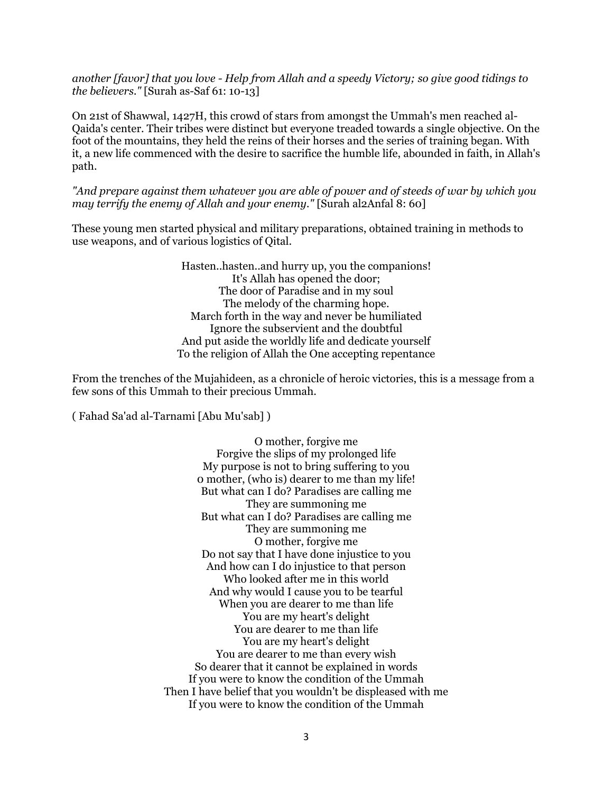*another [favor] that you love - Help from Allah and a speedy Victory; so give good tidings to the believers."* [Surah as-Saf 61: 10-13]

On 21st of Shawwal, 1427H, this crowd of stars from amongst the Ummah's men reached al-Qaida's center. Their tribes were distinct but everyone treaded towards a single objective. On the foot of the mountains, they held the reins of their horses and the series of training began. With it, a new life commenced with the desire to sacrifice the humble life, abounded in faith, in Allah's path.

*"And prepare against them whatever you are able of power and of steeds of war by which you may terrify the enemy of Allah and your enemy."* [Surah al2Anfal 8: 60]

These young men started physical and military preparations, obtained training in methods to use weapons, and of various logistics of Qital.

> Hasten..hasten..and hurry up, you the companions! It's Allah has opened the door; The door of Paradise and in my soul The melody of the charming hope. March forth in the way and never be humiliated Ignore the subservient and the doubtful And put aside the worldly life and dedicate yourself To the religion of Allah the One accepting repentance

From the trenches of the Mujahideen, as a chronicle of heroic victories, this is a message from a few sons of this Ummah to their precious Ummah.

( Fahad Sa'ad al-Tarnami [Abu Mu'sab] )

O mother, forgive me Forgive the slips of my prolonged life My purpose is not to bring suffering to you 0 mother, (who is) dearer to me than my life! But what can I do? Paradises are calling me They are summoning me But what can I do? Paradises are calling me They are summoning me O mother, forgive me Do not say that I have done injustice to you And how can I do injustice to that person Who looked after me in this world And why would I cause you to be tearful When you are dearer to me than life You are my heart's delight You are dearer to me than life You are my heart's delight You are dearer to me than every wish So dearer that it cannot be explained in words If you were to know the condition of the Ummah Then I have belief that you wouldn't be displeased with me If you were to know the condition of the Ummah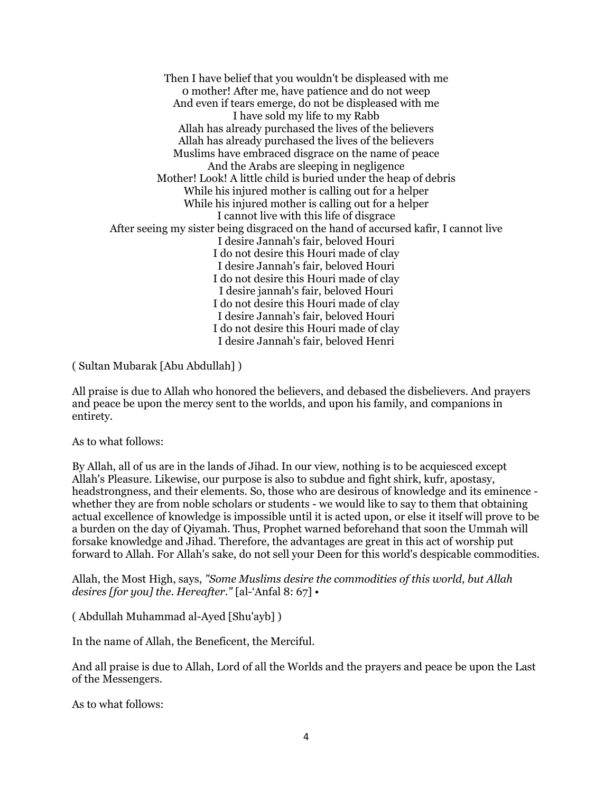Then I have belief that you wouldn't be displeased with me 0 mother! After me, have patience and do not weep And even if tears emerge, do not be displeased with me I have sold my life to my Rabb Allah has already purchased the lives of the believers Allah has already purchased the lives of the believers Muslims have embraced disgrace on the name of peace And the Arabs are sleeping in negligence Mother! Look! A little child is buried under the heap of debris While his injured mother is calling out for a helper While his injured mother is calling out for a helper I cannot live with this life of disgrace After seeing my sister being disgraced on the hand of accursed kafir, I cannot live I desire Jannah's fair, beloved Houri I do not desire this Houri made of clay I desire Jannah's fair, beloved Houri I do not desire this Houri made of clay I desire jannah's fair, beloved Houri I do not desire this Houri made of clay I desire Jannah's fair, beloved Houri I do not desire this Houri made of clay I desire Jannah's fair, beloved Henri

( Sultan Mubarak [Abu Abdullah] )

All praise is due to Allah who honored the believers, and debased the disbelievers. And prayers and peace be upon the mercy sent to the worlds, and upon his family, and companions in entirety.

As to what follows:

By Allah, all of us are in the lands of Jihad. In our view, nothing is to be acquiesced except Allah's Pleasure. Likewise, our purpose is also to subdue and fight shirk, kufr, apostasy, headstrongness, and their elements. So, those who are desirous of knowledge and its eminence whether they are from noble scholars or students - we would like to say to them that obtaining actual excellence of knowledge is impossible until it is acted upon, or else it itself will prove to be a burden on the day of Qiyamah. Thus, Prophet warned beforehand that soon the Ummah will forsake knowledge and Jihad. Therefore, the advantages are great in this act of worship put forward to Allah. For Allah's sake, do not sell your Deen for this world's despicable commodities.

Allah, the Most High, says, *"Some Muslims desire the commodities of this world, but Allah desires [for you] the. Hereafter."* [al-'Anfal 8: 67] •

( Abdullah Muhammad al-Ayed [Shu'ayb] )

In the name of Allah, the Beneficent, the Merciful.

And all praise is due to Allah, Lord of all the Worlds and the prayers and peace be upon the Last of the Messengers.

As to what follows: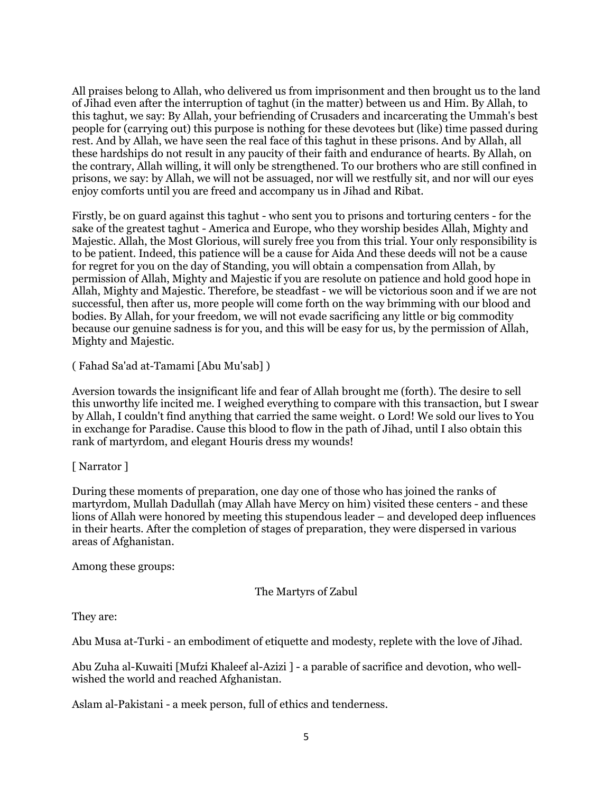All praises belong to Allah, who delivered us from imprisonment and then brought us to the land of Jihad even after the interruption of taghut (in the matter) between us and Him. By Allah, to this taghut, we say: By Allah, your befriending of Crusaders and incarcerating the Ummah's best people for (carrying out) this purpose is nothing for these devotees but (like) time passed during rest. And by Allah, we have seen the real face of this taghut in these prisons. And by Allah, all these hardships do not result in any paucity of their faith and endurance of hearts. By Allah, on the contrary, Allah willing, it will only be strengthened. To our brothers who are still confined in prisons, we say: by Allah, we will not be assuaged, nor will we restfully sit, and nor will our eyes enjoy comforts until you are freed and accompany us in Jihad and Ribat.

Firstly, be on guard against this taghut - who sent you to prisons and torturing centers - for the sake of the greatest taghut - America and Europe, who they worship besides Allah, Mighty and Majestic. Allah, the Most Glorious, will surely free you from this trial. Your only responsibility is to be patient. Indeed, this patience will be a cause for Aida And these deeds will not be a cause for regret for you on the day of Standing, you will obtain a compensation from Allah, by permission of Allah, Mighty and Majestic if you are resolute on patience and hold good hope in Allah, Mighty and Majestic. Therefore, be steadfast - we will be victorious soon and if we are not successful, then after us, more people will come forth on the way brimming with our blood and bodies. By Allah, for your freedom, we will not evade sacrificing any little or big commodity because our genuine sadness is for you, and this will be easy for us, by the permission of Allah, Mighty and Majestic.

( Fahad Sa'ad at-Tamami [Abu Mu'sab] )

Aversion towards the insignificant life and fear of Allah brought me (forth). The desire to sell this unworthy life incited me. I weighed everything to compare with this transaction, but I swear by Allah, I couldn't find anything that carried the same weight. 0 Lord! We sold our lives to You in exchange for Paradise. Cause this blood to flow in the path of Jihad, until I also obtain this rank of martyrdom, and elegant Houris dress my wounds!

## [ Narrator ]

During these moments of preparation, one day one of those who has joined the ranks of martyrdom, Mullah Dadullah (may Allah have Mercy on him) visited these centers - and these lions of Allah were honored by meeting this stupendous leader – and developed deep influences in their hearts. After the completion of stages of preparation, they were dispersed in various areas of Afghanistan.

Among these groups:

The Martyrs of Zabul

They are:

Abu Musa at-Turki - an embodiment of etiquette and modesty, replete with the love of Jihad.

Abu Zuha al-Kuwaiti [Mufzi Khaleef al-Azizi ] - a parable of sacrifice and devotion, who wellwished the world and reached Afghanistan.

Aslam al-Pakistani - a meek person, full of ethics and tenderness.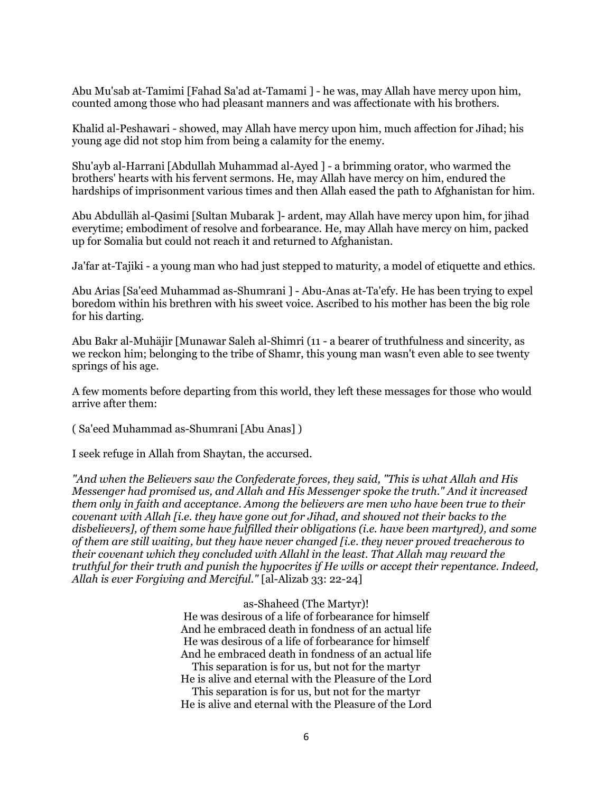Abu Mu'sab at-Tamimi [Fahad Sa'ad at-Tamami ] - he was, may Allah have mercy upon him, counted among those who had pleasant manners and was affectionate with his brothers.

Khalid al-Peshawari - showed, may Allah have mercy upon him, much affection for Jihad; his young age did not stop him from being a calamity for the enemy.

Shu'ayb al-Harrani [Abdullah Muhammad al-Ayed ] - a brimming orator, who warmed the brothers' hearts with his fervent sermons. He, may Allah have mercy on him, endured the hardships of imprisonment various times and then Allah eased the path to Afghanistan for him.

Abu Abdulläh al-Qasimi [Sultan Mubarak ]- ardent, may Allah have mercy upon him, for jihad everytime; embodiment of resolve and forbearance. He, may Allah have mercy on him, packed up for Somalia but could not reach it and returned to Afghanistan.

Ja'far at-Tajiki - a young man who had just stepped to maturity, a model of etiquette and ethics.

Abu Arias [Sa'eed Muhammad as-Shumrani ] - Abu-Anas at-Ta'efy. He has been trying to expel boredom within his brethren with his sweet voice. Ascribed to his mother has been the big role for his darting.

Abu Bakr al-Muhäjir [Munawar Saleh al-Shimri (11 - a bearer of truthfulness and sincerity, as we reckon him; belonging to the tribe of Shamr, this young man wasn't even able to see twenty springs of his age.

A few moments before departing from this world, they left these messages for those who would arrive after them:

( Sa'eed Muhammad as-Shumrani [Abu Anas] )

I seek refuge in Allah from Shaytan, the accursed.

*"And when the Believers saw the Confederate forces, they said, "This is what Allah and His Messenger had promised us, and Allah and His Messenger spoke the truth." And it increased them only in faith and acceptance. Among the believers are men who have been true to their covenant with Allah [i.e. they have gone out for Jihad, and showed not their backs to the disbelievers], of them some have fulfilled their obligations (i.e. have been martyred), and some of them are still waiting, but they have never changed [i.e. they never proved treacherous to their covenant which they concluded with Allahl in the least. That Allah may reward the truthful for their truth and punish the hypocrites if He wills or accept their repentance. Indeed, Allah is ever Forgiving and Merciful."* [al-Alizab 33: 22-24]

as-Shaheed (The Martyr)!

He was desirous of a life of forbearance for himself And he embraced death in fondness of an actual life He was desirous of a life of forbearance for himself And he embraced death in fondness of an actual life This separation is for us, but not for the martyr He is alive and eternal with the Pleasure of the Lord This separation is for us, but not for the martyr He is alive and eternal with the Pleasure of the Lord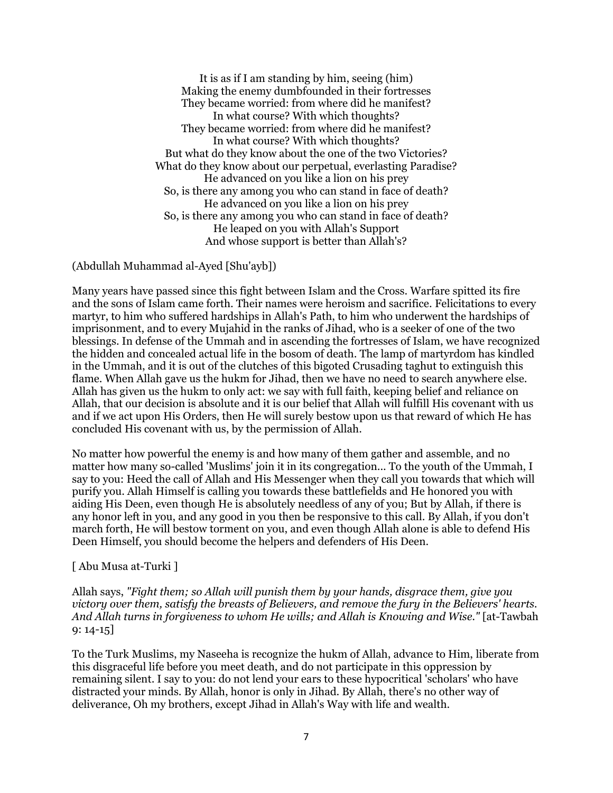It is as if I am standing by him, seeing (him) Making the enemy dumbfounded in their fortresses They became worried: from where did he manifest? In what course? With which thoughts? They became worried: from where did he manifest? In what course? With which thoughts? But what do they know about the one of the two Victories? What do they know about our perpetual, everlasting Paradise? He advanced on you like a lion on his prey So, is there any among you who can stand in face of death? He advanced on you like a lion on his prey So, is there any among you who can stand in face of death? He leaped on you with Allah's Support And whose support is better than Allah's?

(Abdullah Muhammad al-Ayed [Shu'ayb])

Many years have passed since this fight between Islam and the Cross. Warfare spitted its fire and the sons of Islam came forth. Their names were heroism and sacrifice. Felicitations to every martyr, to him who suffered hardships in Allah's Path, to him who underwent the hardships of imprisonment, and to every Mujahid in the ranks of Jihad, who is a seeker of one of the two blessings. In defense of the Ummah and in ascending the fortresses of Islam, we have recognized the hidden and concealed actual life in the bosom of death. The lamp of martyrdom has kindled in the Ummah, and it is out of the clutches of this bigoted Crusading taghut to extinguish this flame. When Allah gave us the hukm for Jihad, then we have no need to search anywhere else. Allah has given us the hukm to only act: we say with full faith, keeping belief and reliance on Allah, that our decision is absolute and it is our belief that Allah will fulfill His covenant with us and if we act upon His Orders, then He will surely bestow upon us that reward of which He has concluded His covenant with us, by the permission of Allah.

No matter how powerful the enemy is and how many of them gather and assemble, and no matter how many so-called 'Muslims' join it in its congregation... To the youth of the Ummah, I say to you: Heed the call of Allah and His Messenger when they call you towards that which will purify you. Allah Himself is calling you towards these battlefields and He honored you with aiding His Deen, even though He is absolutely needless of any of you; But by Allah, if there is any honor left in you, and any good in you then be responsive to this call. By Allah, if you don't march forth, He will bestow torment on you, and even though Allah alone is able to defend His Deen Himself, you should become the helpers and defenders of His Deen.

## [ Abu Musa at-Turki ]

Allah says, *"Fight them; so Allah will punish them by your hands, disgrace them, give you victory over them, satisfy the breasts of Believers, and remove the fury in the Believers' hearts. And Allah turns in forgiveness to whom He wills; and Allah is Knowing and Wise."* [at-Tawbah 9: 14-15]

To the Turk Muslims, my Naseeha is recognize the hukm of Allah, advance to Him, liberate from this disgraceful life before you meet death, and do not participate in this oppression by remaining silent. I say to you: do not lend your ears to these hypocritical 'scholars' who have distracted your minds. By Allah, honor is only in Jihad. By Allah, there's no other way of deliverance, Oh my brothers, except Jihad in Allah's Way with life and wealth.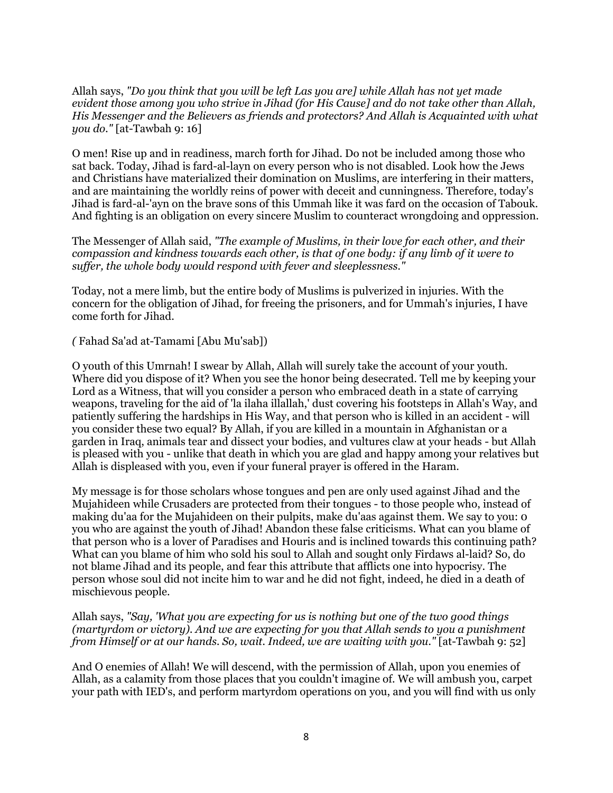Allah says, *"Do you think that you will be left Las you are] while Allah has not yet made evident those among you who strive in Jihad (for His Cause] and do not take other than Allah, His Messenger and the Believers as friends and protectors? And Allah is Acquainted with what you do."* [at-Tawbah 9: 16]

O men! Rise up and in readiness, march forth for Jihad. Do not be included among those who sat back. Today, Jihad is fard-al-layn on every person who is not disabled. Look how the Jews and Christians have materialized their domination on Muslims, are interfering in their matters, and are maintaining the worldly reins of power with deceit and cunningness. Therefore, today's Jihad is fard-al-'ayn on the brave sons of this Ummah like it was fard on the occasion of Tabouk. And fighting is an obligation on every sincere Muslim to counteract wrongdoing and oppression.

The Messenger of Allah said, *"The example of Muslims, in their love for each other, and their compassion and kindness towards each other, is that of one body: if any limb of it were to suffer, the whole body would respond with fever and sleeplessness."*

Today, not a mere limb, but the entire body of Muslims is pulverized in injuries. With the concern for the obligation of Jihad, for freeing the prisoners, and for Ummah's injuries, I have come forth for Jihad.

*(* Fahad Sa'ad at-Tamami [Abu Mu'sab])

O youth of this Umrnah! I swear by Allah, Allah will surely take the account of your youth. Where did you dispose of it? When you see the honor being desecrated. Tell me by keeping your Lord as a Witness, that will you consider a person who embraced death in a state of carrying weapons, traveling for the aid of 'la ilaha illallah,' dust covering his footsteps in Allah's Way, and patiently suffering the hardships in His Way, and that person who is killed in an accident - will you consider these two equal? By Allah, if you are killed in a mountain in Afghanistan or a garden in Iraq, animals tear and dissect your bodies, and vultures claw at your heads - but Allah is pleased with you - unlike that death in which you are glad and happy among your relatives but Allah is displeased with you, even if your funeral prayer is offered in the Haram.

My message is for those scholars whose tongues and pen are only used against Jihad and the Mujahideen while Crusaders are protected from their tongues - to those people who, instead of making du'aa for the Mujahideen on their pulpits, make du'aas against them. We say to you: 0 you who are against the youth of Jihad! Abandon these false criticisms. What can you blame of that person who is a lover of Paradises and Houris and is inclined towards this continuing path? What can you blame of him who sold his soul to Allah and sought only Firdaws al-laid? So, do not blame Jihad and its people, and fear this attribute that afflicts one into hypocrisy. The person whose soul did not incite him to war and he did not fight, indeed, he died in a death of mischievous people.

Allah says, *"Say, 'What you are expecting for us is nothing but one of the two good things (martyrdom or victory). And we are expecting for you that Allah sends to you a punishment from Himself or at our hands. So, wait. Indeed, we are waiting with you."* [at-Tawbah 9: 52]

And O enemies of Allah! We will descend, with the permission of Allah, upon you enemies of Allah, as a calamity from those places that you couldn't imagine of. We will ambush you, carpet your path with IED's, and perform martyrdom operations on you, and you will find with us only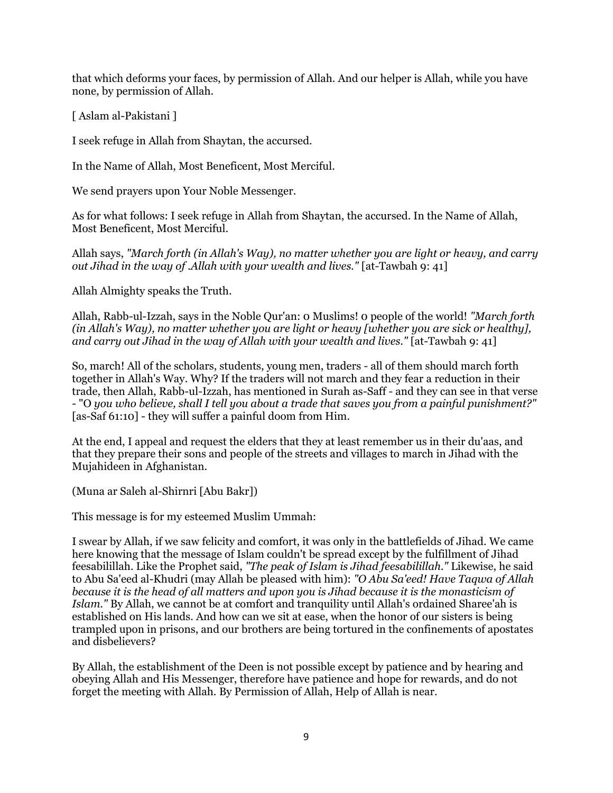that which deforms your faces, by permission of Allah. And our helper is Allah, while you have none, by permission of Allah.

[ Aslam al-Pakistani ]

I seek refuge in Allah from Shaytan, the accursed.

In the Name of Allah, Most Beneficent, Most Merciful.

We send prayers upon Your Noble Messenger.

As for what follows: I seek refuge in Allah from Shaytan, the accursed. In the Name of Allah, Most Beneficent, Most Merciful.

Allah says, *"March forth (in Allah's Way), no matter whether you are light or heavy, and carry out Jihad in the way of .Allah with your wealth and lives."* [at-Tawbah 9: 41]

Allah Almighty speaks the Truth.

Allah, Rabb-ul-Izzah, says in the Noble Qur'an: 0 Muslims! 0 people of the world! *"March forth (in Allah's Way), no matter whether you are light or heavy [whether you are sick or healthy], and carry out Jihad in the way of Allah with your wealth and lives."* [at-Tawbah 9: 41]

So, march! All of the scholars, students, young men, traders - all of them should march forth together in Allah's Way. Why? If the traders will not march and they fear a reduction in their trade, then Allah, Rabb-ul-Izzah, has mentioned in Surah as-Saff - and they can see in that verse - "O *you who believe, shall I tell you about a trade that saves you from a painful punishment?"*  [as-Saf 61:10] - they will suffer a painful doom from Him.

At the end, I appeal and request the elders that they at least remember us in their du'aas, and that they prepare their sons and people of the streets and villages to march in Jihad with the Mujahideen in Afghanistan.

(Muna ar Saleh al-Shirnri [Abu Bakr])

This message is for my esteemed Muslim Ummah:

I swear by Allah, if we saw felicity and comfort, it was only in the battlefields of Jihad. We came here knowing that the message of Islam couldn't be spread except by the fulfillment of Jihad feesabilillah. Like the Prophet said, *"The peak of Islam is Jihad feesabilillah."* Likewise, he said to Abu Sa'eed al-Khudri (may Allah be pleased with him): *"O Abu Sa'eed! Have Taqwa of Allah because it is the head of all matters and upon you is Jihad because it is the monasticism of Islam."* By Allah, we cannot be at comfort and tranquility until Allah's ordained Sharee'ah is established on His lands. And how can we sit at ease, when the honor of our sisters is being trampled upon in prisons, and our brothers are being tortured in the confinements of apostates and disbelievers?

By Allah, the establishment of the Deen is not possible except by patience and by hearing and obeying Allah and His Messenger, therefore have patience and hope for rewards, and do not forget the meeting with Allah. By Permission of Allah, Help of Allah is near.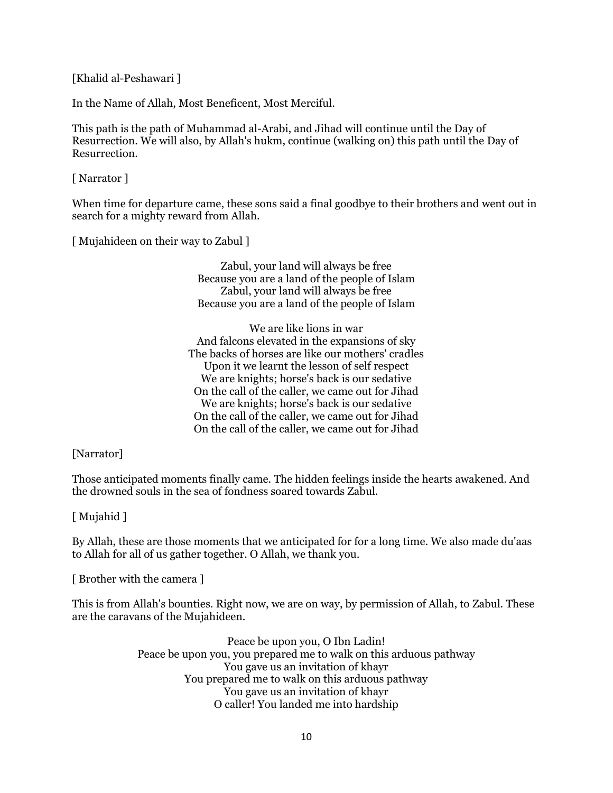[Khalid al-Peshawari ]

In the Name of Allah, Most Beneficent, Most Merciful.

This path is the path of Muhammad al-Arabi, and Jihad will continue until the Day of Resurrection. We will also, by Allah's hukm, continue (walking on) this path until the Day of Resurrection.

[ Narrator ]

When time for departure came, these sons said a final goodbye to their brothers and went out in search for a mighty reward from Allah.

[ Mujahideen on their way to Zabul ]

Zabul, your land will always be free Because you are a land of the people of Islam Zabul, your land will always be free Because you are a land of the people of Islam

We are like lions in war And falcons elevated in the expansions of sky The backs of horses are like our mothers' cradles Upon it we learnt the lesson of self respect We are knights; horse's back is our sedative On the call of the caller, we came out for Jihad We are knights; horse's back is our sedative On the call of the caller, we came out for Jihad On the call of the caller, we came out for Jihad

[Narrator]

Those anticipated moments finally came. The hidden feelings inside the hearts awakened. And the drowned souls in the sea of fondness soared towards Zabul.

[ Mujahid ]

By Allah, these are those moments that we anticipated for for a long time. We also made du'aas to Allah for all of us gather together. O Allah, we thank you.

[ Brother with the camera ]

This is from Allah's bounties. Right now, we are on way, by permission of Allah, to Zabul. These are the caravans of the Mujahideen.

> Peace be upon you, O Ibn Ladin! Peace be upon you, you prepared me to walk on this arduous pathway You gave us an invitation of khayr You prepared me to walk on this arduous pathway You gave us an invitation of khayr O caller! You landed me into hardship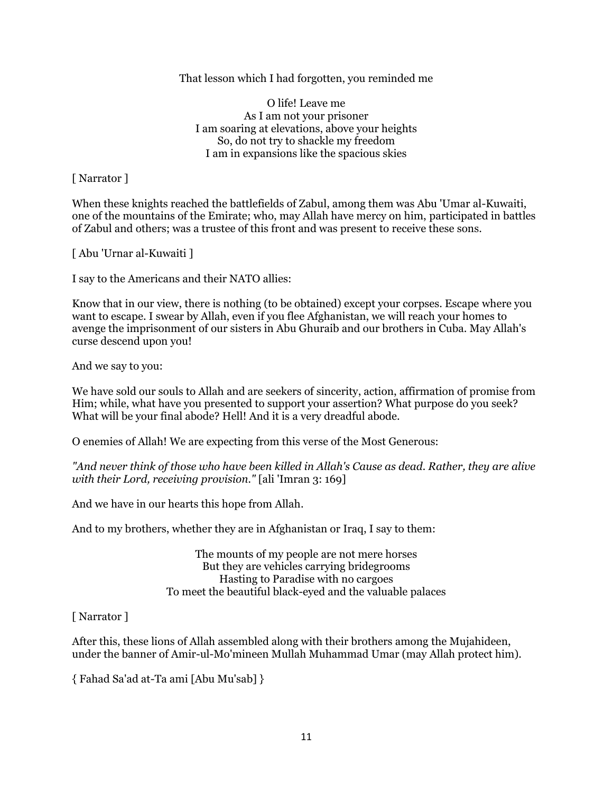## That lesson which I had forgotten, you reminded me

O life! Leave me As I am not your prisoner I am soaring at elevations, above your heights So, do not try to shackle my freedom I am in expansions like the spacious skies

[ Narrator ]

When these knights reached the battlefields of Zabul, among them was Abu 'Umar al-Kuwaiti, one of the mountains of the Emirate; who, may Allah have mercy on him, participated in battles of Zabul and others; was a trustee of this front and was present to receive these sons.

[ Abu 'Urnar al-Kuwaiti ]

I say to the Americans and their NATO allies:

Know that in our view, there is nothing (to be obtained) except your corpses. Escape where you want to escape. I swear by Allah, even if you flee Afghanistan, we will reach your homes to avenge the imprisonment of our sisters in Abu Ghuraib and our brothers in Cuba. May Allah's curse descend upon you!

And we say to you:

We have sold our souls to Allah and are seekers of sincerity, action, affirmation of promise from Him; while, what have you presented to support your assertion? What purpose do you seek? What will be your final abode? Hell! And it is a very dreadful abode.

O enemies of Allah! We are expecting from this verse of the Most Generous:

*"And never think of those who have been killed in Allah's Cause as dead. Rather, they are alive with their Lord, receiving provision."* [ali 'Imran 3: 169]

And we have in our hearts this hope from Allah.

And to my brothers, whether they are in Afghanistan or Iraq, I say to them:

The mounts of my people are not mere horses But they are vehicles carrying bridegrooms Hasting to Paradise with no cargoes To meet the beautiful black-eyed and the valuable palaces

[ Narrator ]

After this, these lions of Allah assembled along with their brothers among the Mujahideen, under the banner of Amir-ul-Mo'mineen Mullah Muhammad Umar (may Allah protect him).

{ Fahad Sa'ad at-Ta ami [Abu Mu'sab] }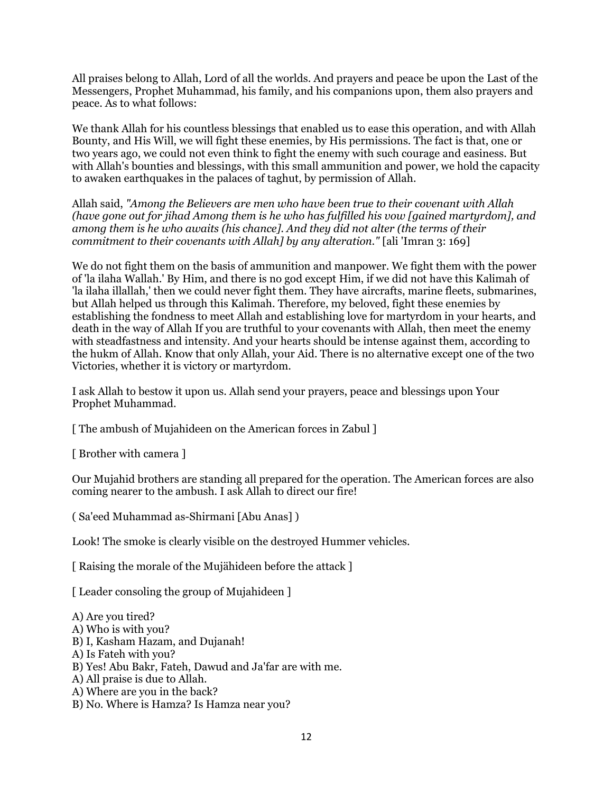All praises belong to Allah, Lord of all the worlds. And prayers and peace be upon the Last of the Messengers, Prophet Muhammad, his family, and his companions upon, them also prayers and peace. As to what follows:

We thank Allah for his countless blessings that enabled us to ease this operation, and with Allah Bounty, and His Will, we will fight these enemies, by His permissions. The fact is that, one or two years ago, we could not even think to fight the enemy with such courage and easiness. But with Allah's bounties and blessings, with this small ammunition and power, we hold the capacity to awaken earthquakes in the palaces of taghut, by permission of Allah.

Allah said, *"Among the Believers are men who have been true to their covenant with Allah (have gone out for jihad Among them is he who has fulfilled his vow [gained martyrdom], and among them is he who awaits (his chance]. And they did not alter (the terms of their commitment to their covenants with Allah] by any alteration."* [ali 'Imran 3: 169]

We do not fight them on the basis of ammunition and manpower. We fight them with the power of 'la ilaha Wallah.' By Him, and there is no god except Him, if we did not have this Kalimah of 'la ilaha illallah,' then we could never fight them. They have aircrafts, marine fleets, submarines, but Allah helped us through this Kalimah. Therefore, my beloved, fight these enemies by establishing the fondness to meet Allah and establishing love for martyrdom in your hearts, and death in the way of Allah If you are truthful to your covenants with Allah, then meet the enemy with steadfastness and intensity. And your hearts should be intense against them, according to the hukm of Allah. Know that only Allah, your Aid. There is no alternative except one of the two Victories, whether it is victory or martyrdom.

I ask Allah to bestow it upon us. Allah send your prayers, peace and blessings upon Your Prophet Muhammad.

[ The ambush of Mujahideen on the American forces in Zabul ]

[ Brother with camera ]

Our Mujahid brothers are standing all prepared for the operation. The American forces are also coming nearer to the ambush. I ask Allah to direct our fire!

( Sa'eed Muhammad as-Shirmani [Abu Anas] )

Look! The smoke is clearly visible on the destroyed Hummer vehicles.

[ Raising the morale of the Mujähideen before the attack ]

[Leader consoling the group of Mujahideen ]

A) Are you tired? A) Who is with you? B) I, Kasham Hazam, and Dujanah! A) Is Fateh with you? B) Yes! Abu Bakr, Fateh, Dawud and Ja'far are with me. A) All praise is due to Allah. A) Where are you in the back? B) No. Where is Hamza? Is Hamza near you?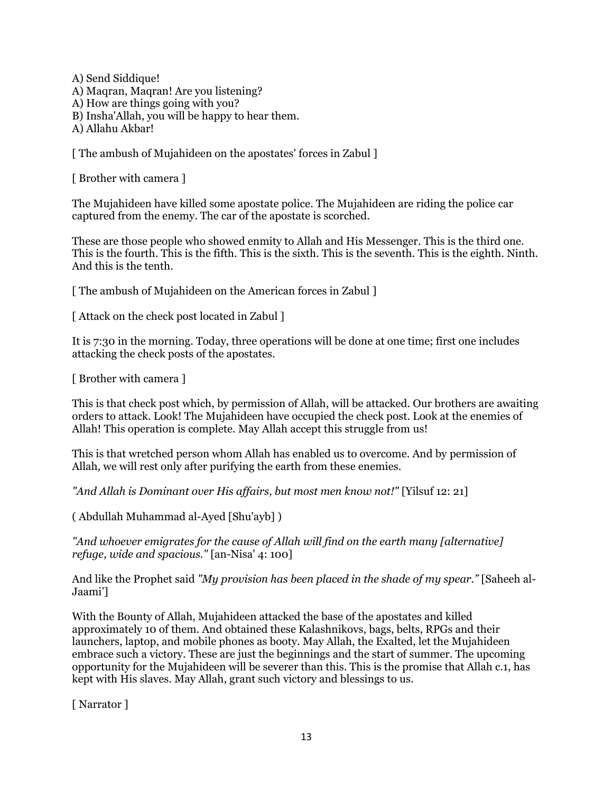A) Send Siddique! A) Maqran, Maqran! Are you listening? A) How are things going with you? B) Insha'Allah, you will be happy to hear them. A) Allahu Akbar!

[The ambush of Mujahideen on the apostates' forces in Zabul ]

[ Brother with camera ]

The Mujahideen have killed some apostate police. The Mujahideen are riding the police car captured from the enemy. The car of the apostate is scorched.

These are those people who showed enmity to Allah and His Messenger. This is the third one. This is the fourth. This is the fifth. This is the sixth. This is the seventh. This is the eighth. Ninth. And this is the tenth.

[ The ambush of Mujahideen on the American forces in Zabul ]

[ Attack on the check post located in Zabul ]

It is 7:30 in the morning. Today, three operations will be done at one time; first one includes attacking the check posts of the apostates.

[ Brother with camera ]

This is that check post which, by permission of Allah, will be attacked. Our brothers are awaiting orders to attack. Look! The Mujahideen have occupied the check post. Look at the enemies of Allah! This operation is complete. May Allah accept this struggle from us!

This is that wretched person whom Allah has enabled us to overcome. And by permission of Allah, we will rest only after purifying the earth from these enemies.

*"And Allah is Dominant over His affairs, but most men know not!"* [Yilsuf 12: 21]

( Abdullah Muhammad al-Ayed [Shu'ayb] )

*"And whoever emigrates for the cause of Allah will find on the earth many [alternative] refuge, wide and spacious."* [an-Nisa' 4: 100]

And like the Prophet said *"My provision has been placed in the shade of my spear."* [Saheeh al-Jaami']

With the Bounty of Allah, Mujahideen attacked the base of the apostates and killed approximately 10 of them. And obtained these Kalashnikovs, bags, belts, RPGs and their launchers, laptop, and mobile phones as booty. May Allah, the Exalted, let the Mujahideen embrace such a victory. These are just the beginnings and the start of summer. The upcoming opportunity for the Mujahideen will be severer than this. This is the promise that Allah c.1, has kept with His slaves. May Allah, grant such victory and blessings to us.

[ Narrator ]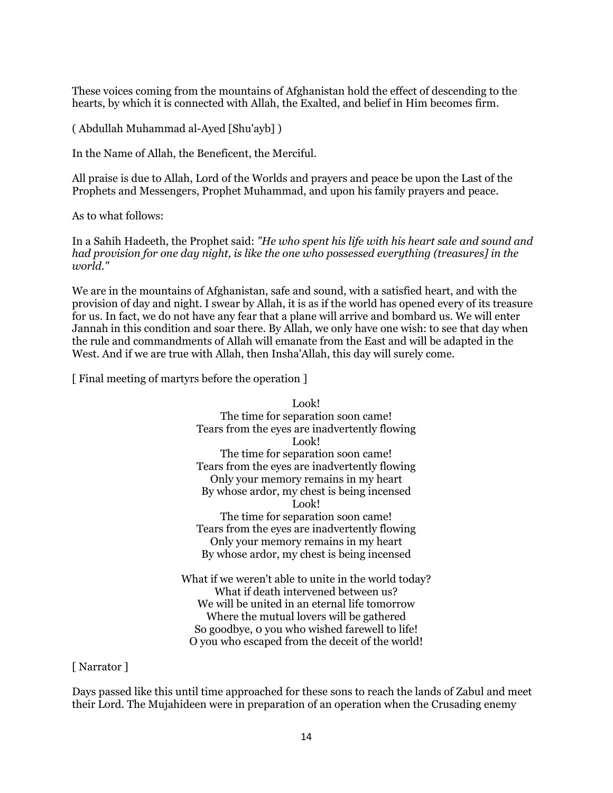These voices coming from the mountains of Afghanistan hold the effect of descending to the hearts, by which it is connected with Allah, the Exalted, and belief in Him becomes firm.

( Abdullah Muhammad al-Ayed [Shu'ayb] )

In the Name of Allah, the Beneficent, the Merciful.

All praise is due to Allah, Lord of the Worlds and prayers and peace be upon the Last of the Prophets and Messengers, Prophet Muhammad, and upon his family prayers and peace.

As to what follows:

In a Sahih Hadeeth, the Prophet said: *"He who spent his life with his heart sale and sound and had provision for one day night, is like the one who possessed everything (treasures] in the world."*

We are in the mountains of Afghanistan, safe and sound, with a satisfied heart, and with the provision of day and night. I swear by Allah, it is as if the world has opened every of its treasure for us. In fact, we do not have any fear that a plane will arrive and bombard us. We will enter Jannah in this condition and soar there. By Allah, we only have one wish: to see that day when the rule and commandments of Allah will emanate from the East and will be adapted in the West. And if we are true with Allah, then Insha'Allah, this day will surely come.

[ Final meeting of martyrs before the operation ]

Look! The time for separation soon came! Tears from the eyes are inadvertently flowing Look! The time for separation soon came! Tears from the eyes are inadvertently flowing Only your memory remains in my heart By whose ardor, my chest is being incensed Look! The time for separation soon came! Tears from the eyes are inadvertently flowing Only your memory remains in my heart By whose ardor, my chest is being incensed What if we weren't able to unite in the world today? What if death intervened between us? We will be united in an eternal life tomorrow Where the mutual lovers will be gathered

[ Narrator ]

Days passed like this until time approached for these sons to reach the lands of Zabul and meet their Lord. The Mujahideen were in preparation of an operation when the Crusading enemy

So goodbye, 0 you who wished farewell to life! O you who escaped from the deceit of the world!